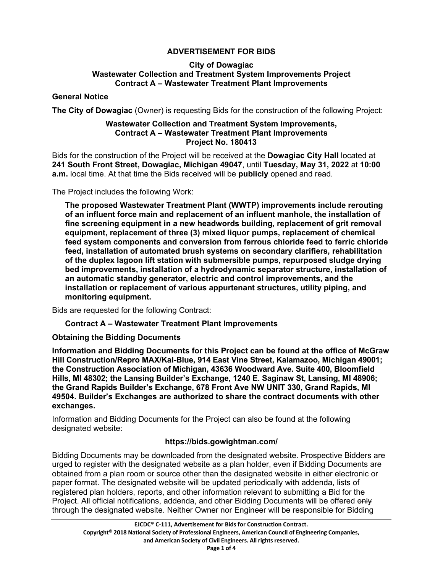# **ADVERTISEMENT FOR BIDS**

#### **City of Dowagiac Wastewater Collection and Treatment System Improvements Project Contract A – Wastewater Treatment Plant Improvements**

#### **General Notice**

**The City of Dowagiac** (Owner) is requesting Bids for the construction of the following Project:

#### **Wastewater Collection and Treatment System Improvements, Contract A – Wastewater Treatment Plant Improvements Project No. 180413**

Bids for the construction of the Project will be received at the **Dowagiac City Hall** located at **241 South Front Street, Dowagiac, Michigan 49047**, until **Tuesday, May 31, 2022** at **10:00 a.m.** local time. At that time the Bids received will be **publicly** opened and read.

The Project includes the following Work:

**The proposed Wastewater Treatment Plant (WWTP) improvements include rerouting of an influent force main and replacement of an influent manhole, the installation of fine screening equipment in a new headwords building, replacement of grit removal equipment, replacement of three (3) mixed liquor pumps, replacement of chemical feed system components and conversion from ferrous chloride feed to ferric chloride feed, installation of automated brush systems on secondary clarifiers, rehabilitation of the duplex lagoon lift station with submersible pumps, repurposed sludge drying bed improvements, installation of a hydrodynamic separator structure, installation of an automatic standby generator, electric and control improvements, and the installation or replacement of various appurtenant structures, utility piping, and monitoring equipment.** 

Bids are requested for the following Contract:

## **Contract A – Wastewater Treatment Plant Improvements**

## **Obtaining the Bidding Documents**

**Information and Bidding Documents for this Project can be found at the office of McGraw Hill Construction/Repro MAX/Kal-Blue, 914 East Vine Street, Kalamazoo, Michigan 49001; the Construction Association of Michigan, 43636 Woodward Ave. Suite 400, Bloomfield Hills, MI 48302; the Lansing Builder's Exchange, 1240 E. Saginaw St, Lansing, MI 48906; the Grand Rapids Builder's Exchange, 678 Front Ave NW UNIT 330, Grand Rapids, MI 49504. Builder's Exchanges are authorized to share the contract documents with other exchanges.** 

Information and Bidding Documents for the Project can also be found at the following designated website:

## **https://bids.gowightman.com/**

Bidding Documents may be downloaded from the designated website. Prospective Bidders are urged to register with the designated website as a plan holder, even if Bidding Documents are obtained from a plan room or source other than the designated website in either electronic or paper format. The designated website will be updated periodically with addenda, lists of registered plan holders, reports, and other information relevant to submitting a Bid for the Project. All official notifications, addenda, and other Bidding Documents will be offered only through the designated website. Neither Owner nor Engineer will be responsible for Bidding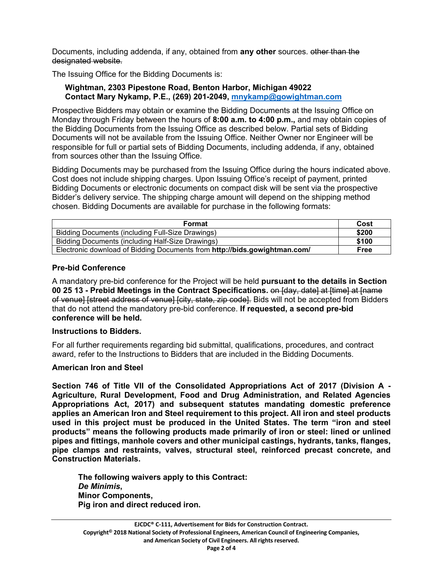Documents, including addenda, if any, obtained from **any other** sources. other than the designated website.

The Issuing Office for the Bidding Documents is:

#### **Wightman, 2303 Pipestone Road, Benton Harbor, Michigan 49022 Contact Mary Nykamp, P.E., (269) 201-2049, mnykamp@gowightman.com**

Prospective Bidders may obtain or examine the Bidding Documents at the Issuing Office on Monday through Friday between the hours of **8:00 a.m. to 4:00 p.m.,** and may obtain copies of the Bidding Documents from the Issuing Office as described below. Partial sets of Bidding Documents will not be available from the Issuing Office. Neither Owner nor Engineer will be responsible for full or partial sets of Bidding Documents, including addenda, if any, obtained from sources other than the Issuing Office.

Bidding Documents may be purchased from the Issuing Office during the hours indicated above. Cost does not include shipping charges. Upon Issuing Office's receipt of payment, printed Bidding Documents or electronic documents on compact disk will be sent via the prospective Bidder's delivery service. The shipping charge amount will depend on the shipping method chosen. Bidding Documents are available for purchase in the following formats:

| Format                                                                    | Cost  |
|---------------------------------------------------------------------------|-------|
| Bidding Documents (including Full-Size Drawings)                          | \$200 |
| Bidding Documents (including Half-Size Drawings)                          | \$100 |
| Electronic download of Bidding Documents from http://bids.gowightman.com/ | Free  |

# **Pre-bid Conference**

A mandatory pre-bid conference for the Project will be held **pursuant to the details in Section 00 25 13 - Prebid Meetings in the Contract Specifications.** on [day, date] at [time] at [name of venuel Istreet address of venuel feity, state, zip codel. Bids will not be accepted from Bidders that do not attend the mandatory pre-bid conference. **If requested, a second pre-bid conference will be held.** 

## **Instructions to Bidders.**

For all further requirements regarding bid submittal, qualifications, procedures, and contract award, refer to the Instructions to Bidders that are included in the Bidding Documents.

## **American Iron and Steel**

**Section 746 of Title VII of the Consolidated Appropriations Act of 2017 (Division A - Agriculture, Rural Development, Food and Drug Administration, and Related Agencies Appropriations Act, 2017) and subsequent statutes mandating domestic preference applies an American Iron and Steel requirement to this project. All iron and steel products used in this project must be produced in the United States. The term "iron and steel products" means the following products made primarily of iron or steel: lined or unlined pipes and fittings, manhole covers and other municipal castings, hydrants, tanks, flanges, pipe clamps and restraints, valves, structural steel, reinforced precast concrete, and Construction Materials.** 

 **The following waivers apply to this Contract:**   *De Minimis***, Minor Components, Pig iron and direct reduced iron.**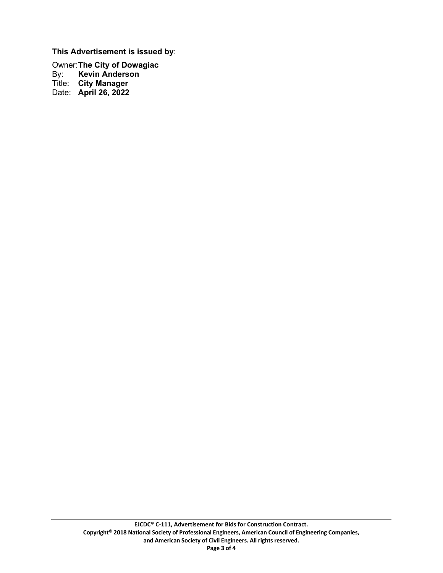**This Advertisement is issued by**:

Owner: **The City of Dowagiac Kevin Anderson** Title: **City Manager** Date: **April 26, 2022**